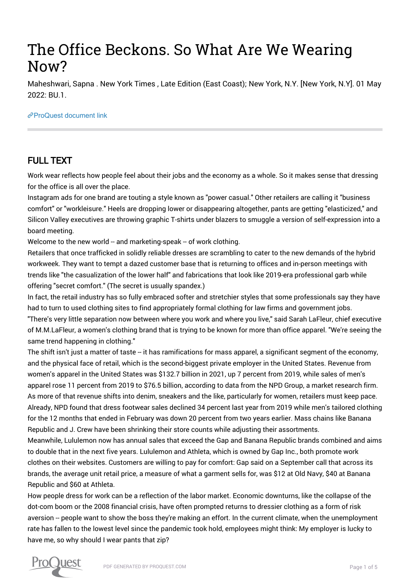# The Office Beckons. So What Are We Wearing Now?

Maheshwari, Sapna . New York Times , Late Edition (East Coast); New York, N.Y. [New York, N.Y]. 01 May 2022: BU.1.

#### [ProQuest document link](https://www.proquest.com/newspapers/office-beckons-so-what-are-we-wearing-now/docview/2657625529/se-2?accountid=44910)

## FULL TEXT

Work wear reflects how people feel about their jobs and the economy as a whole. So it makes sense that dressing for the office is all over the place.

Instagram ads for one brand are touting a style known as "power casual." Other retailers are calling it "business comfort" or "workleisure." Heels are dropping lower or disappearing altogether, pants are getting "elasticized," and Silicon Valley executives are throwing graphic T-shirts under blazers to smuggle a version of self-expression into a board meeting.

Welcome to the new world -- and marketing-speak -- of work clothing.

Retailers that once trafficked in solidly reliable dresses are scrambling to cater to the new demands of the hybrid workweek. They want to tempt a dazed customer base that is returning to offices and in-person meetings with trends like "the casualization of the lower half" and fabrications that look like 2019-era professional garb while offering "secret comfort." (The secret is usually spandex.)

In fact, the retail industry has so fully embraced softer and stretchier styles that some professionals say they have had to turn to used clothing sites to find appropriately formal clothing for law firms and government jobs.

"There's very little separation now between where you work and where you live," said Sarah LaFleur, chief executive of M.M.LaFleur, a women's clothing brand that is trying to be known for more than office apparel. "We're seeing the same trend happening in clothing."

The shift isn't just a matter of taste – it has ramifications for mass apparel, a significant segment of the economy, and the physical face of retail, which is the second-biggest private employer in the United States. Revenue from women's apparel in the United States was \$132.7 billion in 2021, up 7 percent from 2019, while sales of men's apparel rose 11 percent from 2019 to \$76.5 billion, according to data from the NPD Group, a market research firm. As more of that revenue shifts into denim, sneakers and the like, particularly for women, retailers must keep pace. Already, NPD found that dress footwear sales declined 34 percent last year from 2019 while men's tailored clothing for the 12 months that ended in February was down 20 percent from two years earlier. Mass chains like Banana Republic and J. Crew have been shrinking their store counts while adjusting their assortments.

Meanwhile, Lululemon now has annual sales that exceed the Gap and Banana Republic brands combined and aims to double that in the next five years. Lululemon and Athleta, which is owned by Gap Inc., both promote work clothes on their websites. Customers are willing to pay for comfort: Gap said on a September call that across its brands, the average unit retail price, a measure of what a garment sells for, was \$12 at Old Navy, \$40 at Banana Republic and \$60 at Athleta.

How people dress for work can be a reflection of the labor market. Economic downturns, like the collapse of the dot-com boom or the 2008 financial crisis, have often prompted returns to dressier clothing as a form of risk aversion -- people want to show the boss they're making an effort. In the current climate, when the unemployment rate has fallen to the lowest level since the pandemic took hold, employees might think: My employer is lucky to have me, so why should I wear pants that zip?

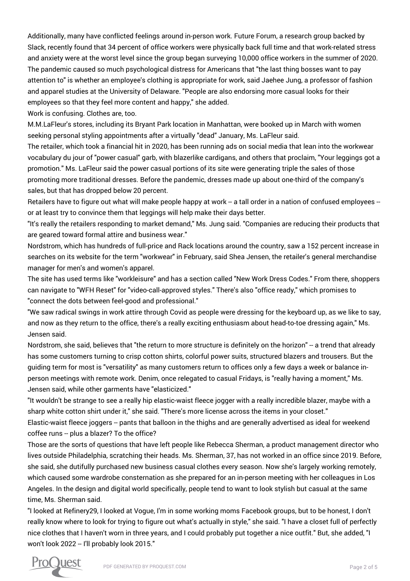Additionally, many have conflicted feelings around in-person work. Future Forum, a research group backed by Slack, recently found that 34 percent of office workers were physically back full time and that work-related stress and anxiety were at the worst level since the group began surveying 10,000 office workers in the summer of 2020. The pandemic caused so much psychological distress for Americans that "the last thing bosses want to pay attention to" is whether an employee's clothing is appropriate for work, said Jaehee Jung, a professor of fashion and apparel studies at the University of Delaware. "People are also endorsing more casual looks for their employees so that they feel more content and happy," she added.

Work is confusing. Clothes are, too.

M.M.LaFleur's stores, including its Bryant Park location in Manhattan, were booked up in March with women seeking personal styling appointments after a virtually "dead" January, Ms. LaFleur said.

The retailer, which took a financial hit in 2020, has been running ads on social media that lean into the workwear vocabulary du jour of "power casual" garb, with blazerlike cardigans, and others that proclaim, "Your leggings got a promotion." Ms. LaFleur said the power casual portions of its site were generating triple the sales of those promoting more traditional dresses. Before the pandemic, dresses made up about one-third of the company's sales, but that has dropped below 20 percent.

Retailers have to figure out what will make people happy at work -- a tall order in a nation of confused employees -or at least try to convince them that leggings will help make their days better.

"It's really the retailers responding to market demand," Ms. Jung said. "Companies are reducing their products that are geared toward formal attire and business wear."

Nordstrom, which has hundreds of full-price and Rack locations around the country, saw a 152 percent increase in searches on its website for the term "workwear" in February, said Shea Jensen, the retailer's general merchandise manager for men's and women's apparel.

The site has used terms like "workleisure" and has a section called "New Work Dress Codes." From there, shoppers can navigate to "WFH Reset" for "video-call-approved styles." There's also "office ready," which promises to "connect the dots between feel-good and professional."

"We saw radical swings in work attire through Covid as people were dressing for the keyboard up, as we like to say, and now as they return to the office, there's a really exciting enthusiasm about head-to-toe dressing again," Ms. Jensen said.

Nordstrom, she said, believes that "the return to more structure is definitely on the horizon" -- a trend that already has some customers turning to crisp cotton shirts, colorful power suits, structured blazers and trousers. But the guiding term for most is "versatility" as many customers return to offices only a few days a week or balance inperson meetings with remote work. Denim, once relegated to casual Fridays, is "really having a moment," Ms. Jensen said, while other garments have "elasticized."

"It wouldn't be strange to see a really hip elastic-waist fleece jogger with a really incredible blazer, maybe with a sharp white cotton shirt under it," she said. "There's more license across the items in your closet." Elastic-waist fleece joggers -- pants that balloon in the thighs and are generally advertised as ideal for weekend

coffee runs -- plus a blazer? To the office?

Those are the sorts of questions that have left people like Rebecca Sherman, a product management director who lives outside Philadelphia, scratching their heads. Ms. Sherman, 37, has not worked in an office since 2019. Before, she said, she dutifully purchased new business casual clothes every season. Now she's largely working remotely, which caused some wardrobe consternation as she prepared for an in-person meeting with her colleagues in Los Angeles. In the design and digital world specifically, people tend to want to look stylish but casual at the same time, Ms. Sherman said.

"I looked at Refinery29, I looked at Vogue, I'm in some working moms Facebook groups, but to be honest, I don't really know where to look for trying to figure out what's actually in style," she said. "I have a closet full of perfectly nice clothes that I haven't worn in three years, and I could probably put together a nice outfit." But, she added, "I won't look 2022 -- I'll probably look 2015."

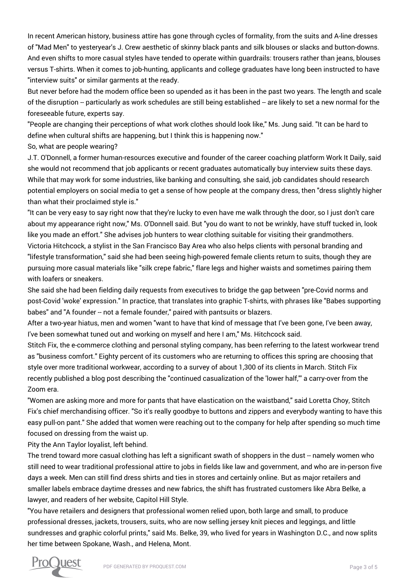In recent American history, business attire has gone through cycles of formality, from the suits and A-line dresses of "Mad Men" to yesteryear's J. Crew aesthetic of skinny black pants and silk blouses or slacks and button-downs. And even shifts to more casual styles have tended to operate within guardrails: trousers rather than jeans, blouses versus T-shirts. When it comes to job-hunting, applicants and college graduates have long been instructed to have "interview suits" or similar garments at the ready.

But never before had the modern office been so upended as it has been in the past two years. The length and scale of the disruption -- particularly as work schedules are still being established -- are likely to set a new normal for the foreseeable future, experts say.

"People are changing their perceptions of what work clothes should look like," Ms. Jung said. "It can be hard to define when cultural shifts are happening, but I think this is happening now."

So, what are people wearing?

J.T. O'Donnell, a former human-resources executive and founder of the career coaching platform Work It Daily, said she would not recommend that job applicants or recent graduates automatically buy interview suits these days. While that may work for some industries, like banking and consulting, she said, job candidates should research potential employers on social media to get a sense of how people at the company dress, then "dress slightly higher than what their proclaimed style is."

"It can be very easy to say right now that they're lucky to even have me walk through the door, so I just don't care about my appearance right now," Ms. O'Donnell said. But "you do want to not be wrinkly, have stuff tucked in, look like you made an effort." She advises job hunters to wear clothing suitable for visiting their grandmothers. Victoria Hitchcock, a stylist in the San Francisco Bay Area who also helps clients with personal branding and "lifestyle transformation," said she had been seeing high-powered female clients return to suits, though they are pursuing more casual materials like "silk crepe fabric," flare legs and higher waists and sometimes pairing them with loafers or sneakers.

She said she had been fielding daily requests from executives to bridge the gap between "pre-Covid norms and post-Covid 'woke' expression." In practice, that translates into graphic T-shirts, with phrases like "Babes supporting babes" and "A founder -- not a female founder," paired with pantsuits or blazers.

After a two-year hiatus, men and women "want to have that kind of message that I've been gone, I've been away, I've been somewhat tuned out and working on myself and here I am," Ms. Hitchcock said.

Stitch Fix, the e-commerce clothing and personal styling company, has been referring to the latest workwear trend as "business comfort." Eighty percent of its customers who are returning to offices this spring are choosing that style over more traditional workwear, according to a survey of about 1,300 of its clients in March. Stitch Fix recently published a blog post describing the "continued casualization of the 'lower half,"' a carry-over from the Zoom era.

"Women are asking more and more for pants that have elastication on the waistband," said Loretta Choy, Stitch Fix's chief merchandising officer. "So it's really goodbye to buttons and zippers and everybody wanting to have this easy pull-on pant." She added that women were reaching out to the company for help after spending so much time focused on dressing from the waist up.

Pity the Ann Taylor loyalist, left behind.

The trend toward more casual clothing has left a significant swath of shoppers in the dust -- namely women who still need to wear traditional professional attire to jobs in fields like law and government, and who are in-person five days a week. Men can still find dress shirts and ties in stores and certainly online. But as major retailers and smaller labels embrace daytime dresses and new fabrics, the shift has frustrated customers like Abra Belke, a lawyer, and readers of her website, Capitol Hill Style.

"You have retailers and designers that professional women relied upon, both large and small, to produce professional dresses, jackets, trousers, suits, who are now selling jersey knit pieces and leggings, and little sundresses and graphic colorful prints," said Ms. Belke, 39, who lived for years in Washington D.C., and now splits her time between Spokane, Wash., and Helena, Mont.

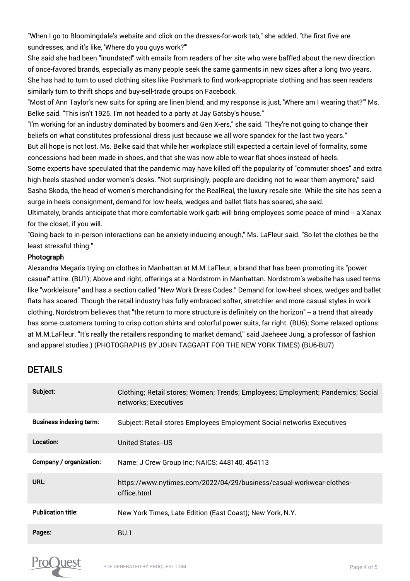"When I go to Bloomingdale's website and click on the dresses-for-work tab," she added, "the first five are sundresses, and it's like, 'Where do you guys work?"'

She said she had been "inundated" with emails from readers of her site who were baffled about the new direction of once-favored brands, especially as many people seek the same garments in new sizes after a long two years. She has had to turn to used clothing sites like Poshmark to find work-appropriate clothing and has seen readers similarly turn to thrift shops and buy-sell-trade groups on Facebook.

"Most of Ann Taylor's new suits for spring are linen blend, and my response is just, 'Where am I wearing that?"' Ms. Belke said. "This isn't 1925. I'm not headed to a party at Jay Gatsby's house."

"I'm working for an industry dominated by boomers and Gen X-ers," she said. "They're not going to change their beliefs on what constitutes professional dress just because we all wore spandex for the last two years."

But all hope is not lost. Ms. Belke said that while her workplace still expected a certain level of formality, some concessions had been made in shoes, and that she was now able to wear flat shoes instead of heels.

Some experts have speculated that the pandemic may have killed off the popularity of "commuter shoes" and extra high heels stashed under women's desks. "Not surprisingly, people are deciding not to wear them anymore," said Sasha Skoda, the head of women's merchandising for the RealReal, the luxury resale site. While the site has seen a surge in heels consignment, demand for low heels, wedges and ballet flats has soared, she said.

Ultimately, brands anticipate that more comfortable work garb will bring employees some peace of mind -- a Xanax for the closet, if you will.

"Going back to in-person interactions can be anxiety-inducing enough," Ms. LaFleur said. "So let the clothes be the least stressful thing."

### Photograph

Alexandra Megaris trying on clothes in Manhattan at M.M.LaFleur, a brand that has been promoting its "power casual" attire. (BU1); Above and right, offerings at a Nordstrom in Manhattan. Nordstrom's website has used terms like "workleisure" and has a section called "New Work Dress Codes." Demand for low-heel shoes, wedges and ballet flats has soared. Though the retail industry has fully embraced softer, stretchier and more casual styles in work clothing, Nordstrom believes that "the return to more structure is definitely on the horizon" -- a trend that already has some customers turning to crisp cotton shirts and colorful power suits, far right. (BU6); Some relaxed options at M.M.LaFleur. "It's really the retailers responding to market demand," said Jaeheee Jung, a professor of fashion and apparel studies.) (PHOTOGRAPHS BY JOHN TAGGART FOR THE NEW YORK TIMES) (BU6-BU7)

## DETAILS

| Subject:                       | Clothing; Retail stores; Women; Trends; Employees; Employment; Pandemics; Social<br>networks; Executives |
|--------------------------------|----------------------------------------------------------------------------------------------------------|
| <b>Business indexing term:</b> | Subject: Retail stores Employees Employment Social networks Executives                                   |
| Location:                      | United States--US                                                                                        |
| Company / organization:        | Name: J Crew Group Inc; NAICS: 448140, 454113                                                            |
| URL:                           | https://www.nytimes.com/2022/04/29/business/casual-workwear-clothes-<br>office html                      |
| <b>Publication title:</b>      | New York Times, Late Edition (East Coast); New York, N.Y.                                                |
| Pages:                         | <b>BU.1</b>                                                                                              |